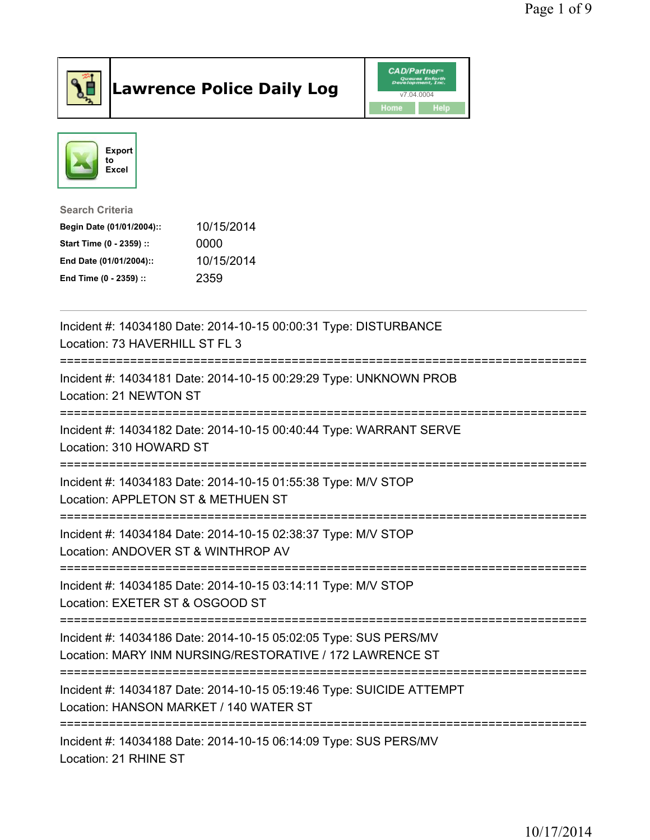

## Lawrence Police Daily Log **Daniel CAD/Partner**





Search Criteria Begin Date (01/01/2004):: 10/15/2014 Start Time (0 - 2359) :: 0000 End Date (01/01/2004):: 10/15/2014 End Time (0 - 2359) :: 2359

| Incident #: 14034180 Date: 2014-10-15 00:00:31 Type: DISTURBANCE<br>Location: 73 HAVERHILL ST FL 3<br>=============                          |
|----------------------------------------------------------------------------------------------------------------------------------------------|
| Incident #: 14034181 Date: 2014-10-15 00:29:29 Type: UNKNOWN PROB<br>Location: 21 NEWTON ST                                                  |
| Incident #: 14034182 Date: 2014-10-15 00:40:44 Type: WARRANT SERVE<br>Location: 310 HOWARD ST                                                |
| Incident #: 14034183 Date: 2014-10-15 01:55:38 Type: M/V STOP<br>Location: APPLETON ST & METHUEN ST                                          |
| Incident #: 14034184 Date: 2014-10-15 02:38:37 Type: M/V STOP<br>Location: ANDOVER ST & WINTHROP AV<br><u> :============================</u> |
| Incident #: 14034185 Date: 2014-10-15 03:14:11 Type: M/V STOP<br>Location: EXETER ST & OSGOOD ST                                             |
| Incident #: 14034186 Date: 2014-10-15 05:02:05 Type: SUS PERS/MV<br>Location: MARY INM NURSING/RESTORATIVE / 172 LAWRENCE ST                 |
| Incident #: 14034187 Date: 2014-10-15 05:19:46 Type: SUICIDE ATTEMPT<br>Location: HANSON MARKET / 140 WATER ST                               |
| Incident #: 14034188 Date: 2014-10-15 06:14:09 Type: SUS PERS/MV<br>Location: 21 RHINE ST                                                    |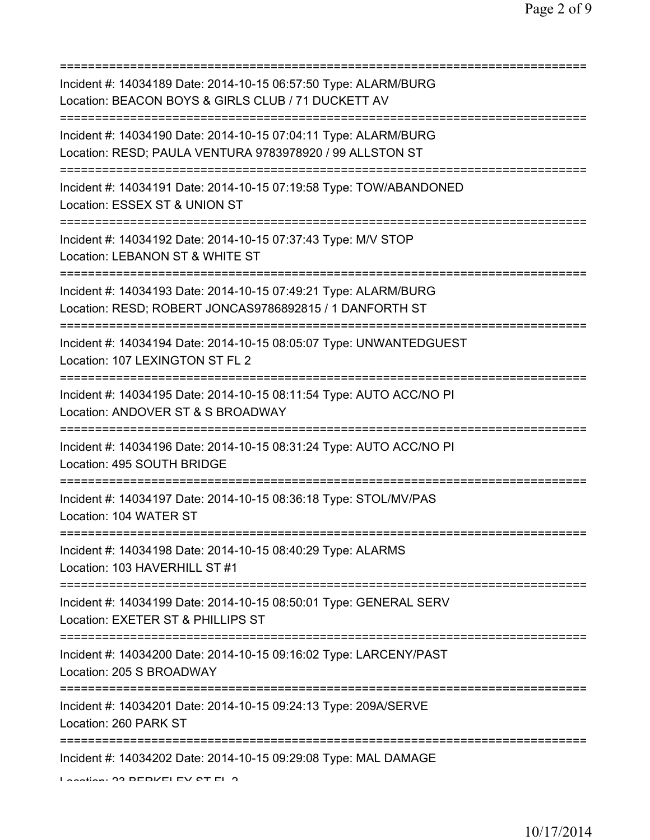=========================================================================== Incident #: 14034189 Date: 2014-10-15 06:57:50 Type: ALARM/BURG Location: BEACON BOYS & GIRLS CLUB / 71 DUCKETT AV =========================================================================== Incident #: 14034190 Date: 2014-10-15 07:04:11 Type: ALARM/BURG Location: RESD; PAULA VENTURA 9783978920 / 99 ALLSTON ST =========================================================================== Incident #: 14034191 Date: 2014-10-15 07:19:58 Type: TOW/ABANDONED Location: ESSEX ST & UNION ST =========================================================================== Incident #: 14034192 Date: 2014-10-15 07:37:43 Type: M/V STOP Location: LEBANON ST & WHITE ST =========================================================================== Incident #: 14034193 Date: 2014-10-15 07:49:21 Type: ALARM/BURG Location: RESD; ROBERT JONCAS9786892815 / 1 DANFORTH ST =========================================================================== Incident #: 14034194 Date: 2014-10-15 08:05:07 Type: UNWANTEDGUEST Location: 107 LEXINGTON ST FL 2 =========================================================================== Incident #: 14034195 Date: 2014-10-15 08:11:54 Type: AUTO ACC/NO PI Location: ANDOVER ST & S BROADWAY =========================================================================== Incident #: 14034196 Date: 2014-10-15 08:31:24 Type: AUTO ACC/NO PI Location: 495 SOUTH BRIDGE =========================================================================== Incident #: 14034197 Date: 2014-10-15 08:36:18 Type: STOL/MV/PAS Location: 104 WATER ST =========================================================================== Incident #: 14034198 Date: 2014-10-15 08:40:29 Type: ALARMS Location: 103 HAVERHILL ST #1 =========================================================================== Incident #: 14034199 Date: 2014-10-15 08:50:01 Type: GENERAL SERV Location: EXETER ST & PHILLIPS ST =========================================================================== Incident #: 14034200 Date: 2014-10-15 09:16:02 Type: LARCENY/PAST Location: 205 S BROADWAY =========================================================================== Incident #: 14034201 Date: 2014-10-15 09:24:13 Type: 209A/SERVE Location: 260 PARK ST =========================================================================== Incident #: 14034202 Date: 2014-10-15 09:29:08 Type: MAL DAMAGE Location: 22 BERKELEY CT FL 2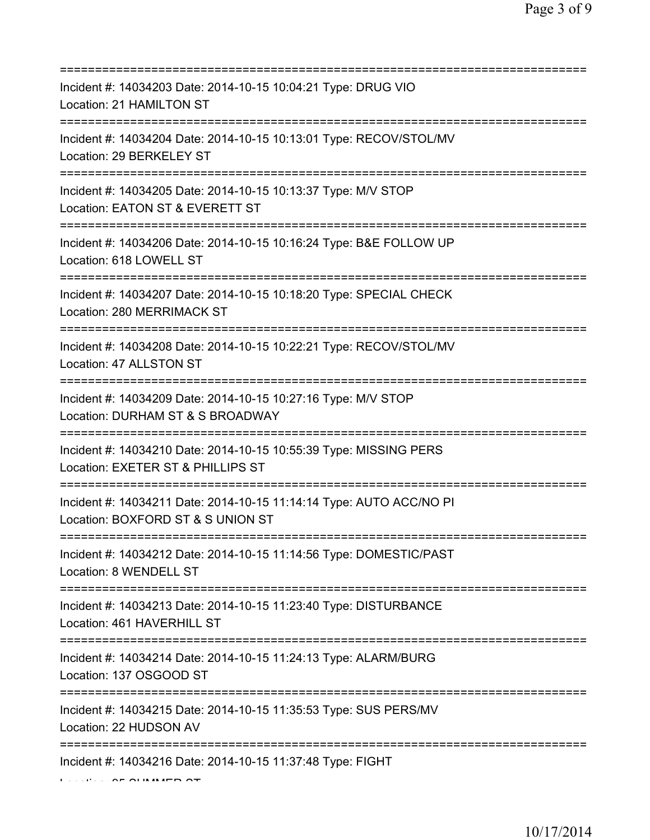| Incident #: 14034203 Date: 2014-10-15 10:04:21 Type: DRUG VIO<br>Location: 21 HAMILTON ST                                          |
|------------------------------------------------------------------------------------------------------------------------------------|
| Incident #: 14034204 Date: 2014-10-15 10:13:01 Type: RECOV/STOL/MV<br>Location: 29 BERKELEY ST                                     |
| Incident #: 14034205 Date: 2014-10-15 10:13:37 Type: M/V STOP<br>Location: EATON ST & EVERETT ST                                   |
| Incident #: 14034206 Date: 2014-10-15 10:16:24 Type: B&E FOLLOW UP<br>Location: 618 LOWELL ST                                      |
| Incident #: 14034207 Date: 2014-10-15 10:18:20 Type: SPECIAL CHECK<br>Location: 280 MERRIMACK ST                                   |
| Incident #: 14034208 Date: 2014-10-15 10:22:21 Type: RECOV/STOL/MV<br>Location: 47 ALLSTON ST                                      |
| Incident #: 14034209 Date: 2014-10-15 10:27:16 Type: M/V STOP<br>Location: DURHAM ST & S BROADWAY                                  |
| ======================<br>Incident #: 14034210 Date: 2014-10-15 10:55:39 Type: MISSING PERS<br>Location: EXETER ST & PHILLIPS ST   |
| Incident #: 14034211 Date: 2014-10-15 11:14:14 Type: AUTO ACC/NO PI<br>Location: BOXFORD ST & S UNION ST                           |
| Incident #: 14034212 Date: 2014-10-15 11:14:56 Type: DOMESTIC/PAST<br>Location: 8 WENDELL ST                                       |
| Incident #: 14034213 Date: 2014-10-15 11:23:40 Type: DISTURBANCE<br>Location: 461 HAVERHILL ST                                     |
| Incident #: 14034214 Date: 2014-10-15 11:24:13 Type: ALARM/BURG<br>Location: 137 OSGOOD ST                                         |
| :===================================<br>Incident #: 14034215 Date: 2014-10-15 11:35:53 Type: SUS PERS/MV<br>Location: 22 HUDSON AV |
| Incident #: 14034216 Date: 2014-10-15 11:37:48 Type: FIGHT                                                                         |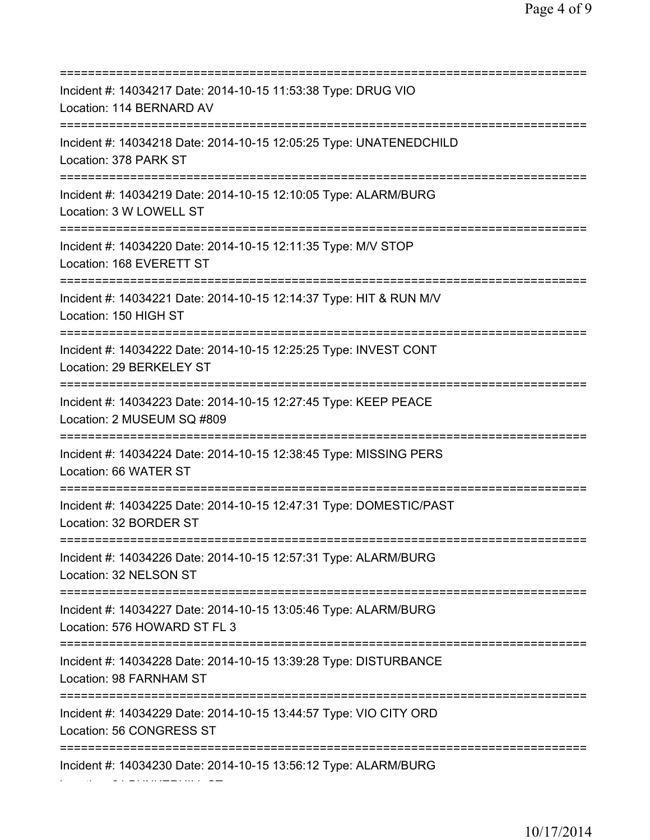| Incident #: 14034217 Date: 2014-10-15 11:53:38 Type: DRUG VIO<br>Location: 114 BERNARD AV                                       |
|---------------------------------------------------------------------------------------------------------------------------------|
| Incident #: 14034218 Date: 2014-10-15 12:05:25 Type: UNATENEDCHILD<br>Location: 378 PARK ST                                     |
| Incident #: 14034219 Date: 2014-10-15 12:10:05 Type: ALARM/BURG<br>Location: 3 W LOWELL ST                                      |
| Incident #: 14034220 Date: 2014-10-15 12:11:35 Type: M/V STOP<br>Location: 168 EVERETT ST                                       |
| Incident #: 14034221 Date: 2014-10-15 12:14:37 Type: HIT & RUN M/V<br>Location: 150 HIGH ST                                     |
| Incident #: 14034222 Date: 2014-10-15 12:25:25 Type: INVEST CONT<br>Location: 29 BERKELEY ST<br>=============================== |
| Incident #: 14034223 Date: 2014-10-15 12:27:45 Type: KEEP PEACE<br>Location: 2 MUSEUM SQ #809<br>============================== |
| Incident #: 14034224 Date: 2014-10-15 12:38:45 Type: MISSING PERS<br>Location: 66 WATER ST<br>==============================    |
| Incident #: 14034225 Date: 2014-10-15 12:47:31 Type: DOMESTIC/PAST<br>Location: 32 BORDER ST                                    |
| Incident #: 14034226 Date: 2014-10-15 12:57:31 Type: ALARM/BURG<br>Location: 32 NELSON ST                                       |
| Incident #: 14034227 Date: 2014-10-15 13:05:46 Type: ALARM/BURG<br>Location: 576 HOWARD ST FL 3                                 |
| Incident #: 14034228 Date: 2014-10-15 13:39:28 Type: DISTURBANCE<br>Location: 98 FARNHAM ST                                     |
| Incident #: 14034229 Date: 2014-10-15 13:44:57 Type: VIO CITY ORD<br>Location: 56 CONGRESS ST                                   |
| Incident #: 14034230 Date: 2014-10-15 13:56:12 Type: ALARM/BURG                                                                 |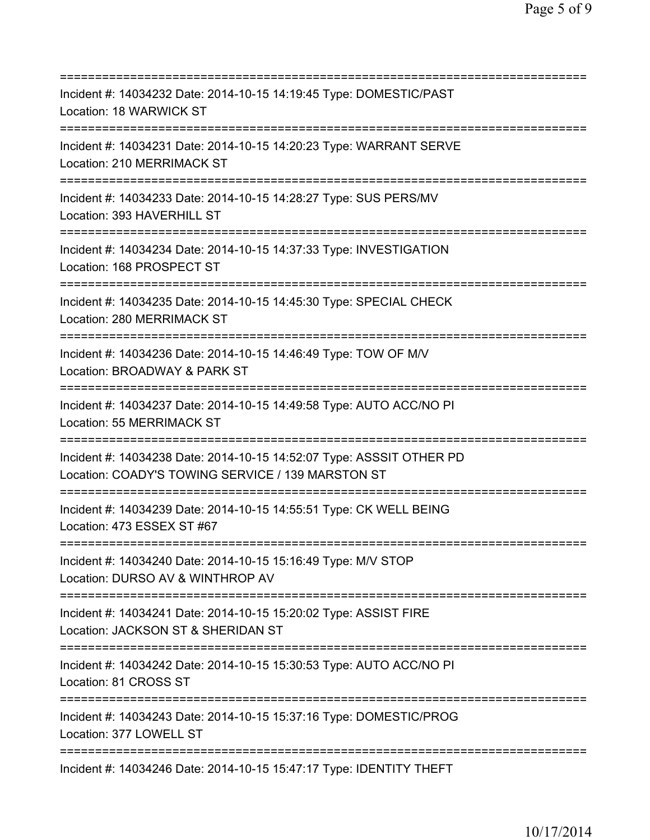| Incident #: 14034232 Date: 2014-10-15 14:19:45 Type: DOMESTIC/PAST<br>Location: 18 WARWICK ST                                             |
|-------------------------------------------------------------------------------------------------------------------------------------------|
| Incident #: 14034231 Date: 2014-10-15 14:20:23 Type: WARRANT SERVE<br>Location: 210 MERRIMACK ST                                          |
| Incident #: 14034233 Date: 2014-10-15 14:28:27 Type: SUS PERS/MV<br>Location: 393 HAVERHILL ST<br>======================                  |
| Incident #: 14034234 Date: 2014-10-15 14:37:33 Type: INVESTIGATION<br>Location: 168 PROSPECT ST                                           |
| Incident #: 14034235 Date: 2014-10-15 14:45:30 Type: SPECIAL CHECK<br>Location: 280 MERRIMACK ST<br>===================================== |
| Incident #: 14034236 Date: 2014-10-15 14:46:49 Type: TOW OF M/V<br>Location: BROADWAY & PARK ST<br>==========================             |
| Incident #: 14034237 Date: 2014-10-15 14:49:58 Type: AUTO ACC/NO PI<br>Location: 55 MERRIMACK ST                                          |
| Incident #: 14034238 Date: 2014-10-15 14:52:07 Type: ASSSIT OTHER PD<br>Location: COADY'S TOWING SERVICE / 139 MARSTON ST                 |
| Incident #: 14034239 Date: 2014-10-15 14:55:51 Type: CK WELL BEING<br>Location: 473 ESSEX ST #67                                          |
| Incident #: 14034240 Date: 2014-10-15 15:16:49 Type: M/V STOP<br>Location: DURSO AV & WINTHROP AV                                         |
| Incident #: 14034241 Date: 2014-10-15 15:20:02 Type: ASSIST FIRE<br>Location: JACKSON ST & SHERIDAN ST                                    |
| Incident #: 14034242 Date: 2014-10-15 15:30:53 Type: AUTO ACC/NO PI<br>Location: 81 CROSS ST                                              |
| Incident #: 14034243 Date: 2014-10-15 15:37:16 Type: DOMESTIC/PROG<br>Location: 377 LOWELL ST                                             |
| Incident #: 14034246 Date: 2014-10-15 15:47:17 Type: IDENTITY THEFT                                                                       |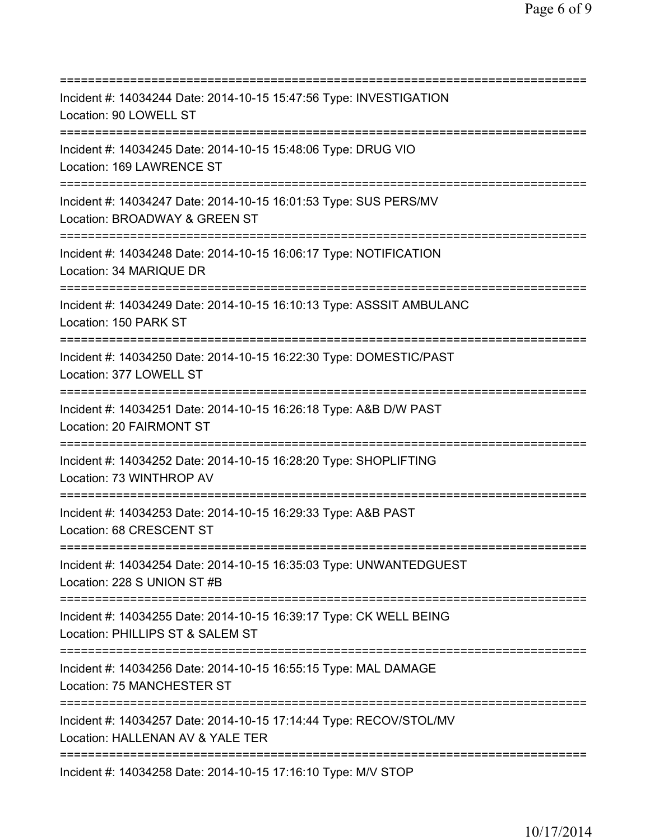=========================================================================== Incident #: 14034244 Date: 2014-10-15 15:47:56 Type: INVESTIGATION Location: 90 LOWELL ST =========================================================================== Incident #: 14034245 Date: 2014-10-15 15:48:06 Type: DRUG VIO Location: 169 LAWRENCE ST =========================================================================== Incident #: 14034247 Date: 2014-10-15 16:01:53 Type: SUS PERS/MV Location: BROADWAY & GREEN ST =========================================================================== Incident #: 14034248 Date: 2014-10-15 16:06:17 Type: NOTIFICATION Location: 34 MARIQUE DR =========================================================================== Incident #: 14034249 Date: 2014-10-15 16:10:13 Type: ASSSIT AMBULANC Location: 150 PARK ST =========================================================================== Incident #: 14034250 Date: 2014-10-15 16:22:30 Type: DOMESTIC/PAST Location: 377 LOWELL ST =========================================================================== Incident #: 14034251 Date: 2014-10-15 16:26:18 Type: A&B D/W PAST Location: 20 FAIRMONT ST =========================================================================== Incident #: 14034252 Date: 2014-10-15 16:28:20 Type: SHOPLIFTING Location: 73 WINTHROP AV =========================================================================== Incident #: 14034253 Date: 2014-10-15 16:29:33 Type: A&B PAST Location: 68 CRESCENT ST =========================================================================== Incident #: 14034254 Date: 2014-10-15 16:35:03 Type: UNWANTEDGUEST Location: 228 S UNION ST #B =========================================================================== Incident #: 14034255 Date: 2014-10-15 16:39:17 Type: CK WELL BEING Location: PHILLIPS ST & SALEM ST =========================================================================== Incident #: 14034256 Date: 2014-10-15 16:55:15 Type: MAL DAMAGE Location: 75 MANCHESTER ST =========================================================================== Incident #: 14034257 Date: 2014-10-15 17:14:44 Type: RECOV/STOL/MV Location: HALLENAN AV & YALE TER =========================================================================== Incident #: 14034258 Date: 2014-10-15 17:16:10 Type: M/V STOP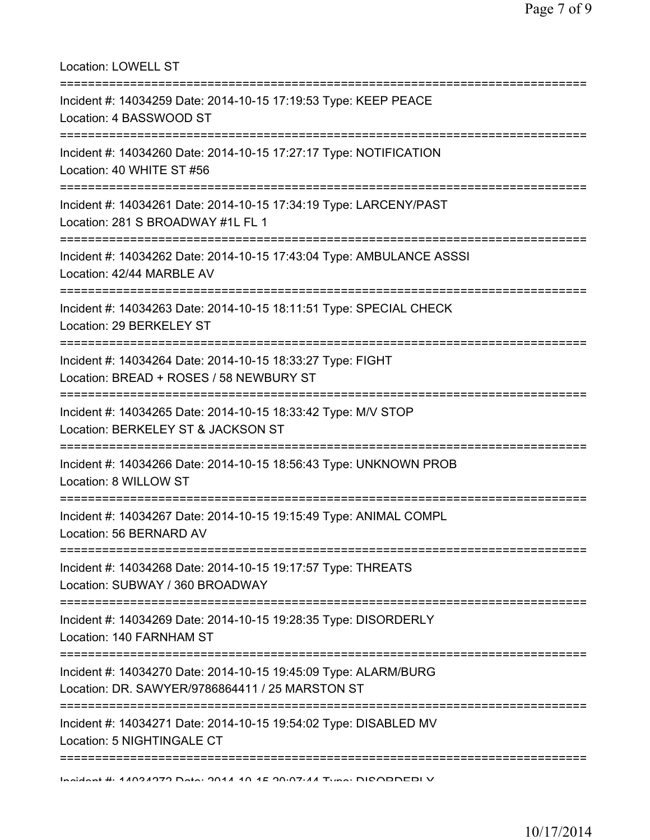| Location: LOWELL ST                                                                                                                        |
|--------------------------------------------------------------------------------------------------------------------------------------------|
| Incident #: 14034259 Date: 2014-10-15 17:19:53 Type: KEEP PEACE<br>Location: 4 BASSWOOD ST<br>======================================       |
| Incident #: 14034260 Date: 2014-10-15 17:27:17 Type: NOTIFICATION<br>Location: 40 WHITE ST #56                                             |
| Incident #: 14034261 Date: 2014-10-15 17:34:19 Type: LARCENY/PAST<br>Location: 281 S BROADWAY #1L FL 1<br>---------------------            |
| Incident #: 14034262 Date: 2014-10-15 17:43:04 Type: AMBULANCE ASSSI<br>Location: 42/44 MARBLE AV                                          |
| Incident #: 14034263 Date: 2014-10-15 18:11:51 Type: SPECIAL CHECK<br>Location: 29 BERKELEY ST                                             |
| Incident #: 14034264 Date: 2014-10-15 18:33:27 Type: FIGHT<br>Location: BREAD + ROSES / 58 NEWBURY ST                                      |
| :==================================<br>Incident #: 14034265 Date: 2014-10-15 18:33:42 Type: M/V STOP<br>Location: BERKELEY ST & JACKSON ST |
| Incident #: 14034266 Date: 2014-10-15 18:56:43 Type: UNKNOWN PROB<br>Location: 8 WILLOW ST                                                 |
| Incident #: 14034267 Date: 2014-10-15 19:15:49 Type: ANIMAL COMPL<br>Location: 56 BERNARD AV                                               |
| ===================================<br>Incident #: 14034268 Date: 2014-10-15 19:17:57 Type: THREATS<br>Location: SUBWAY / 360 BROADWAY     |
| Incident #: 14034269 Date: 2014-10-15 19:28:35 Type: DISORDERLY<br>Location: 140 FARNHAM ST                                                |
| Incident #: 14034270 Date: 2014-10-15 19:45:09 Type: ALARM/BURG<br>Location: DR. SAWYER/9786864411 / 25 MARSTON ST                         |
| Incident #: 14034271 Date: 2014-10-15 19:54:02 Type: DISABLED MV<br>Location: 5 NIGHTINGALE CT                                             |
| =========================<br>Incident # 44094979 Deta: 9044 40 4E 90.07.44 Tune: DIOODDEDI V                                               |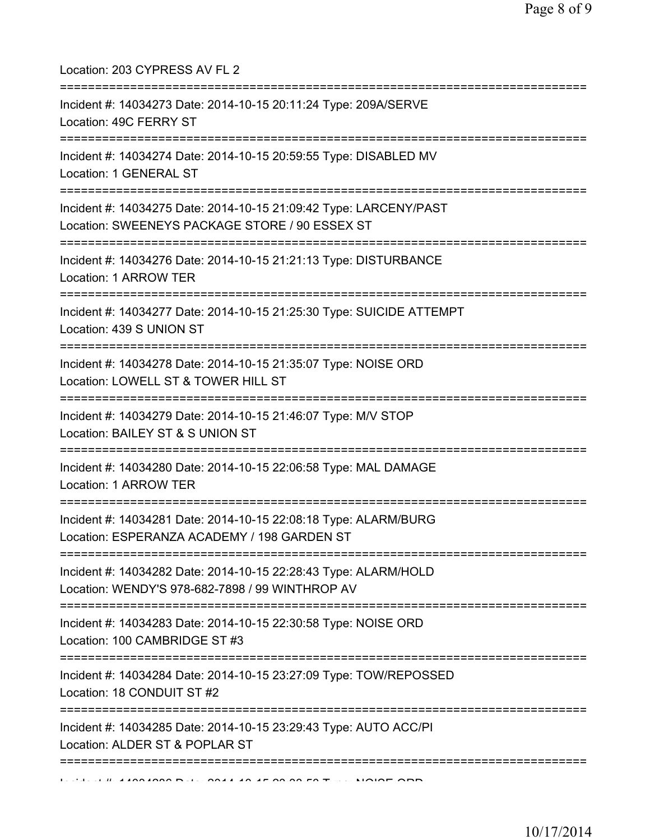| Location: 203 CYPRESS AV FL 2                                                                                                                            |
|----------------------------------------------------------------------------------------------------------------------------------------------------------|
| Incident #: 14034273 Date: 2014-10-15 20:11:24 Type: 209A/SERVE<br>Location: 49C FERRY ST                                                                |
| Incident #: 14034274 Date: 2014-10-15 20:59:55 Type: DISABLED MV<br>Location: 1 GENERAL ST                                                               |
| Incident #: 14034275 Date: 2014-10-15 21:09:42 Type: LARCENY/PAST<br>Location: SWEENEYS PACKAGE STORE / 90 ESSEX ST                                      |
| Incident #: 14034276 Date: 2014-10-15 21:21:13 Type: DISTURBANCE<br>Location: 1 ARROW TER                                                                |
| Incident #: 14034277 Date: 2014-10-15 21:25:30 Type: SUICIDE ATTEMPT<br>Location: 439 S UNION ST                                                         |
| ========================<br>Incident #: 14034278 Date: 2014-10-15 21:35:07 Type: NOISE ORD<br>Location: LOWELL ST & TOWER HILL ST                        |
| Incident #: 14034279 Date: 2014-10-15 21:46:07 Type: M/V STOP<br>Location: BAILEY ST & S UNION ST                                                        |
| Incident #: 14034280 Date: 2014-10-15 22:06:58 Type: MAL DAMAGE<br>Location: 1 ARROW TER                                                                 |
| ======================================<br>Incident #: 14034281 Date: 2014-10-15 22:08:18 Type: ALARM/BURG<br>Location: ESPERANZA ACADEMY / 198 GARDEN ST |
| Incident #: 14034282 Date: 2014-10-15 22:28:43 Type: ALARM/HOLD<br>Location: WENDY'S 978-682-7898 / 99 WINTHROP AV                                       |
| Incident #: 14034283 Date: 2014-10-15 22:30:58 Type: NOISE ORD<br>Location: 100 CAMBRIDGE ST #3                                                          |
| Incident #: 14034284 Date: 2014-10-15 23:27:09 Type: TOW/REPOSSED<br>Location: 18 CONDUIT ST #2                                                          |
| Incident #: 14034285 Date: 2014-10-15 23:29:43 Type: AUTO ACC/PI<br>Location: ALDER ST & POPLAR ST                                                       |
| ===========                                                                                                                                              |